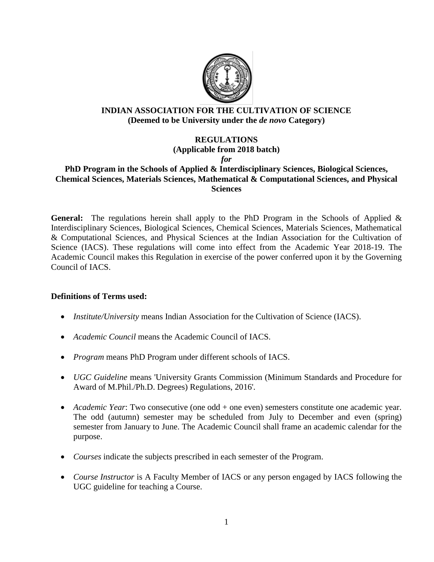

#### **INDIAN ASSOCIATION FOR THE CULTIVATION OF SCIENCE (Deemed to be University under the** *de novo* **Category)**

# **REGULATIONS**

**(Applicable from 2018 batch)**

*for*

## **PhD Program in the Schools of Applied & Interdisciplinary Sciences, Biological Sciences, Chemical Sciences, Materials Sciences, Mathematical & Computational Sciences, and Physical Sciences**

General: The regulations herein shall apply to the PhD Program in the Schools of Applied & Interdisciplinary Sciences, Biological Sciences, Chemical Sciences, Materials Sciences, Mathematical & Computational Sciences, and Physical Sciences at the Indian Association for the Cultivation of Science (IACS). These regulations will come into effect from the Academic Year 2018-19. The Academic Council makes this Regulation in exercise of the power conferred upon it by the Governing Council of IACS.

### **Definitions of Terms used:**

- *Institute/University* means Indian Association for the Cultivation of Science (IACS).
- *Academic Council* means the Academic Council of IACS.
- *Program* means PhD Program under different schools of IACS.
- *UGC Guideline* means 'University Grants Commission (Minimum Standards and Procedure for Award of M.Phil./Ph.D. Degrees) Regulations, 2016'.
- *Academic Year*: Two consecutive (one odd + one even) semesters constitute one academic year. The odd (autumn) semester may be scheduled from July to December and even (spring) semester from January to June. The Academic Council shall frame an academic calendar for the purpose.
- *Courses* indicate the subjects prescribed in each semester of the Program.
- *Course Instructor* is A Faculty Member of IACS or any person engaged by IACS following the UGC guideline for teaching a Course.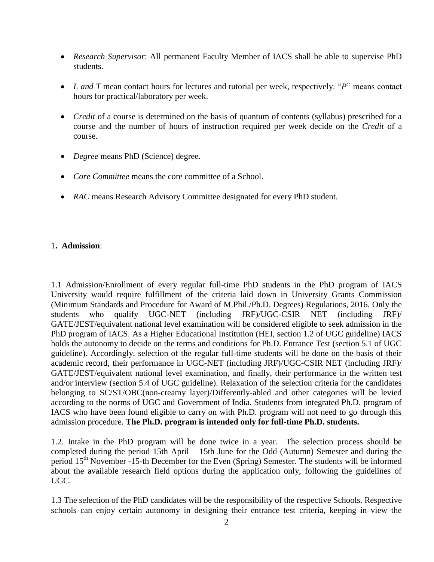- *Research Supervisor*: All permanent Faculty Member of IACS shall be able to supervise PhD students.
- *L and T* mean contact hours for lectures and tutorial per week, respectively. "*P*" means contact hours for practical/laboratory per week.
- *Credit* of a course is determined on the basis of quantum of contents (syllabus) prescribed for a course and the number of hours of instruction required per week decide on the *Credit* of a course.
- *Degree* means PhD (Science) degree.
- *Core Committee* means the core committee of a School.
- *RAC* means Research Advisory Committee designated for every PhD student.

#### 1**. Admission**:

1.1 Admission/Enrollment of every regular full-time PhD students in the PhD program of IACS University would require fulfillment of the criteria laid down in University Grants Commission (Minimum Standards and Procedure for Award of M.Phil./Ph.D. Degrees) Regulations, 2016. Only the students who qualify UGC-NET (including JRF)/UGC-CSIR NET (including JRF)/ GATE/JEST/equivalent national level examination will be considered eligible to seek admission in the PhD program of IACS. As a Higher Educational Institution (HEI, section 1.2 of UGC guideline) IACS holds the autonomy to decide on the terms and conditions for Ph.D. Entrance Test (section 5.1 of UGC guideline). Accordingly, selection of the regular full-time students will be done on the basis of their academic record, their performance in UGC-NET (including JRF)/UGC-CSIR NET (including JRF)/ GATE/JEST/equivalent national level examination, and finally, their performance in the written test and/or interview (section 5.4 of UGC guideline). Relaxation of the selection criteria for the candidates belonging to SC/ST/OBC(non-creamy layer)/Differently-abled and other categories will be levied according to the norms of UGC and Government of India. Students from integrated Ph.D. program of IACS who have been found eligible to carry on with Ph.D. program will not need to go through this admission procedure. **The Ph.D. program is intended only for full-time Ph.D. students.**

1.2. Intake in the PhD program will be done twice in a year. The selection process should be completed during the period 15th April – 15th June for the Odd (Autumn) Semester and during the period 15th November -15-th December for the Even (Spring) Semester. The students will be informed about the available research field options during the application only, following the guidelines of UGC.

1.3 The selection of the PhD candidates will be the responsibility of the respective Schools. Respective schools can enjoy certain autonomy in designing their entrance test criteria, keeping in view the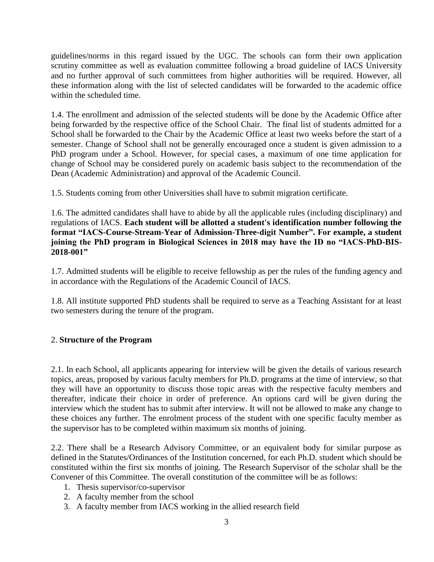guidelines/norms in this regard issued by the UGC. The schools can form their own application scrutiny committee as well as evaluation committee following a broad guideline of IACS University and no further approval of such committees from higher authorities will be required. However, all these information along with the list of selected candidates will be forwarded to the academic office within the scheduled time.

1.4. The enrollment and admission of the selected students will be done by the Academic Office after being forwarded by the respective office of the School Chair. The final list of students admitted for a School shall be forwarded to the Chair by the Academic Office at least two weeks before the start of a semester. Change of School shall not be generally encouraged once a student is given admission to a PhD program under a School. However, for special cases, a maximum of one time application for change of School may be considered purely on academic basis subject to the recommendation of the Dean (Academic Administration) and approval of the Academic Council.

1.5. Students coming from other Universities shall have to submit migration certificate.

1.6. The admitted candidates shall have to abide by all the applicable rules (including disciplinary) and regulations of IACS. **Each student will be allotted a student's identification number following the format "IACS-Course-Stream-Year of Admission-Three-digit Number". For example, a student joining the PhD program in Biological Sciences in 2018 may have the ID no "IACS-PhD-BIS-2018-001"**

1.7. Admitted students will be eligible to receive fellowship as per the rules of the funding agency and in accordance with the Regulations of the Academic Council of IACS.

1.8. All institute supported PhD students shall be required to serve as a Teaching Assistant for at least two semesters during the tenure of the program.

### 2. **Structure of the Program**

2.1. In each School, all applicants appearing for interview will be given the details of various research topics, areas, proposed by various faculty members for Ph.D. programs at the time of interview, so that they will have an opportunity to discuss those topic areas with the respective faculty members and thereafter, indicate their choice in order of preference. An options card will be given during the interview which the student has to submit after interview. It will not be allowed to make any change to these choices any further. The enrolment process of the student with one specific faculty member as the supervisor has to be completed within maximum six months of joining.

2.2. There shall be a Research Advisory Committee, or an equivalent body for similar purpose as defined in the Statutes/Ordinances of the Institution concerned, for each Ph.D. student which should be constituted within the first six months of joining. The Research Supervisor of the scholar shall be the Convener of this Committee. The overall constitution of the committee will be as follows:

- 1. Thesis supervisor/co-supervisor
- 2. A faculty member from the school
- 3. A faculty member from IACS working in the allied research field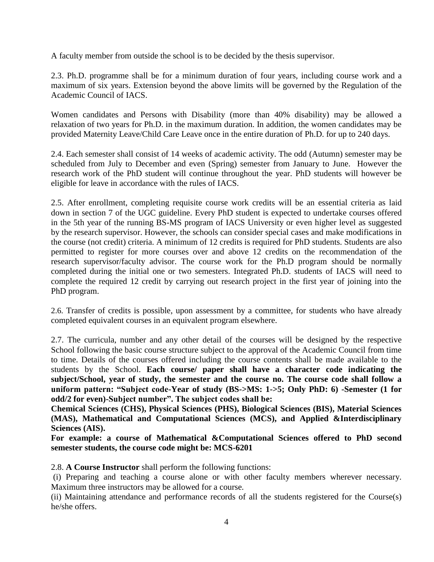A faculty member from outside the school is to be decided by the thesis supervisor.

2.3. Ph.D. programme shall be for a minimum duration of four years, including course work and a maximum of six years. Extension beyond the above limits will be governed by the Regulation of the Academic Council of IACS.

Women candidates and Persons with Disability (more than 40% disability) may be allowed a relaxation of two years for Ph.D. in the maximum duration. In addition, the women candidates may be provided Maternity Leave/Child Care Leave once in the entire duration of Ph.D. for up to 240 days.

2.4. Each semester shall consist of 14 weeks of academic activity. The odd (Autumn) semester may be scheduled from July to December and even (Spring) semester from January to June. However the research work of the PhD student will continue throughout the year. PhD students will however be eligible for leave in accordance with the rules of IACS.

2.5. After enrollment, completing requisite course work credits will be an essential criteria as laid down in section 7 of the UGC guideline. Every PhD student is expected to undertake courses offered in the 5th year of the running BS-MS program of IACS University or even higher level as suggested by the research supervisor. However, the schools can consider special cases and make modifications in the course (not credit) criteria. A minimum of 12 credits is required for PhD students. Students are also permitted to register for more courses over and above 12 credits on the recommendation of the research supervisor/faculty advisor. The course work for the Ph.D program should be normally completed during the initial one or two semesters. Integrated Ph.D. students of IACS will need to complete the required 12 credit by carrying out research project in the first year of joining into the PhD program.

2.6. Transfer of credits is possible, upon assessment by a committee, for students who have already completed equivalent courses in an equivalent program elsewhere.

2.7. The curricula, number and any other detail of the courses will be designed by the respective School following the basic course structure subject to the approval of the Academic Council from time to time. Details of the courses offered including the course contents shall be made available to the students by the School. **Each course/ paper shall have a character code indicating the subject/School, year of study, the semester and the course no. The course code shall follow a uniform pattern: "Subject code-Year of study (BS->MS: 1->5; Only PhD: 6) -Semester (1 for odd/2 for even)-Subject number". The subject codes shall be:**

**Chemical Sciences (CHS), Physical Sciences (PHS), Biological Sciences (BIS), Material Sciences (MAS), Mathematical and Computational Sciences (MCS), and Applied &Interdisciplinary Sciences (AIS).**

**For example: a course of Mathematical &Computational Sciences offered to PhD second semester students, the course code might be: MCS-6201**

2.8. **A Course Instructor** shall perform the following functions:

(i) Preparing and teaching a course alone or with other faculty members wherever necessary. Maximum three instructors may be allowed for a course.

(ii) Maintaining attendance and performance records of all the students registered for the Course(s) he/she offers.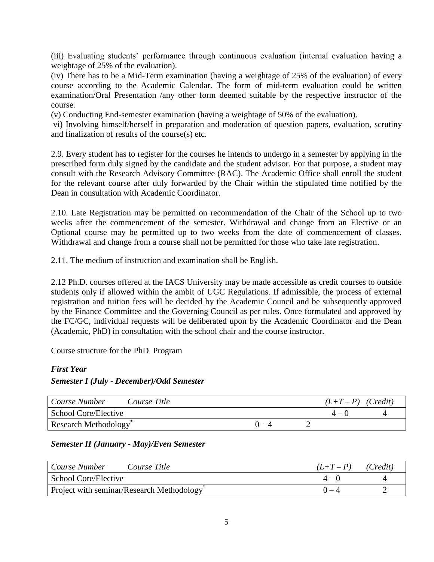(iii) Evaluating students" performance through continuous evaluation (internal evaluation having a weightage of 25% of the evaluation).

(iv) There has to be a Mid-Term examination (having a weightage of 25% of the evaluation) of every course according to the Academic Calendar. The form of mid-term evaluation could be written examination/Oral Presentation /any other form deemed suitable by the respective instructor of the course.

(v) Conducting End-semester examination (having a weightage of 50% of the evaluation).

vi) Involving himself/herself in preparation and moderation of question papers, evaluation, scrutiny and finalization of results of the course(s) etc.

2.9. Every student has to register for the courses he intends to undergo in a semester by applying in the prescribed form duly signed by the candidate and the student advisor. For that purpose, a student may consult with the Research Advisory Committee (RAC). The Academic Office shall enroll the student for the relevant course after duly forwarded by the Chair within the stipulated time notified by the Dean in consultation with Academic Coordinator.

2.10. Late Registration may be permitted on recommendation of the Chair of the School up to two weeks after the commencement of the semester. Withdrawal and change from an Elective or an Optional course may be permitted up to two weeks from the date of commencement of classes. Withdrawal and change from a course shall not be permitted for those who take late registration.

2.11. The medium of instruction and examination shall be English.

2.12 Ph.D. courses offered at the IACS University may be made accessible as credit courses to outside students only if allowed within the ambit of UGC Regulations. If admissible, the process of external registration and tuition fees will be decided by the Academic Council and be subsequently approved by the Finance Committee and the Governing Council as per rules. Once formulated and approved by the FC/GC, individual requests will be deliberated upon by the Academic Coordinator and the Dean (Academic, PhD) in consultation with the school chair and the course instructor.

Course structure for the PhD Program

#### *First Year*

### *Semester I (July - December)/Odd Semester*

| Course Number<br>Course Title     | $(L+T-P)$ (Credit) |  |         |  |
|-----------------------------------|--------------------|--|---------|--|
| School Core/Elective              |                    |  | $4 - 0$ |  |
| Research Methodology <sup>®</sup> |                    |  |         |  |

#### *Semester II (January - May)/Even Semester*

| Course Number<br>Course Title             | $(L+T-P)$ | (Credit) |
|-------------------------------------------|-----------|----------|
| School Core/Elective                      | $4 - 0$   |          |
| Project with seminar/Research Methodology |           |          |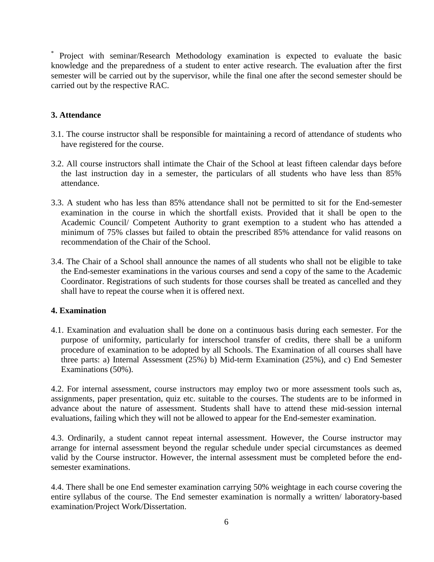\* Project with seminar/Research Methodology examination is expected to evaluate the basic knowledge and the preparedness of a student to enter active research. The evaluation after the first semester will be carried out by the supervisor, while the final one after the second semester should be carried out by the respective RAC.

#### **3. Attendance**

- 3.1. The course instructor shall be responsible for maintaining a record of attendance of students who have registered for the course.
- 3.2. All course instructors shall intimate the Chair of the School at least fifteen calendar days before the last instruction day in a semester, the particulars of all students who have less than 85% attendance.
- 3.3. A student who has less than 85% attendance shall not be permitted to sit for the End-semester examination in the course in which the shortfall exists. Provided that it shall be open to the Academic Council/ Competent Authority to grant exemption to a student who has attended a minimum of 75% classes but failed to obtain the prescribed 85% attendance for valid reasons on recommendation of the Chair of the School.
- 3.4. The Chair of a School shall announce the names of all students who shall not be eligible to take the End-semester examinations in the various courses and send a copy of the same to the Academic Coordinator. Registrations of such students for those courses shall be treated as cancelled and they shall have to repeat the course when it is offered next.

#### **4. Examination**

4.1. Examination and evaluation shall be done on a continuous basis during each semester. For the purpose of uniformity, particularly for interschool transfer of credits, there shall be a uniform procedure of examination to be adopted by all Schools. The Examination of all courses shall have three parts: a) Internal Assessment (25%) b) Mid-term Examination (25%), and c) End Semester Examinations (50%).

4.2. For internal assessment, course instructors may employ two or more assessment tools such as, assignments, paper presentation, quiz etc. suitable to the courses. The students are to be informed in advance about the nature of assessment. Students shall have to attend these mid-session internal evaluations, failing which they will not be allowed to appear for the End-semester examination.

4.3. Ordinarily, a student cannot repeat internal assessment. However, the Course instructor may arrange for internal assessment beyond the regular schedule under special circumstances as deemed valid by the Course instructor. However, the internal assessment must be completed before the endsemester examinations.

4.4. There shall be one End semester examination carrying 50% weightage in each course covering the entire syllabus of the course. The End semester examination is normally a written/ laboratory-based examination/Project Work/Dissertation.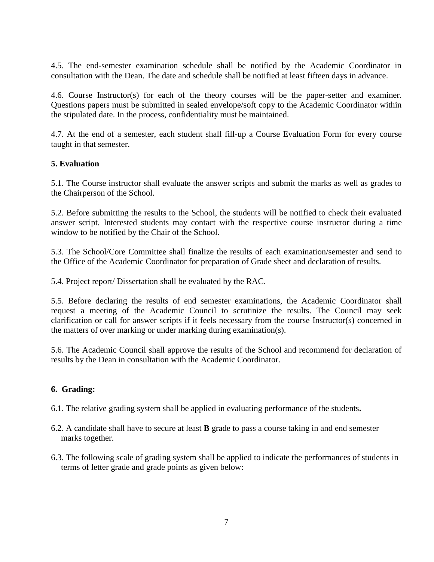4.5. The end-semester examination schedule shall be notified by the Academic Coordinator in consultation with the Dean. The date and schedule shall be notified at least fifteen days in advance.

4.6. Course Instructor(s) for each of the theory courses will be the paper-setter and examiner. Questions papers must be submitted in sealed envelope/soft copy to the Academic Coordinator within the stipulated date. In the process, confidentiality must be maintained.

4.7. At the end of a semester, each student shall fill-up a Course Evaluation Form for every course taught in that semester.

### **5. Evaluation**

5.1. The Course instructor shall evaluate the answer scripts and submit the marks as well as grades to the Chairperson of the School.

5.2. Before submitting the results to the School, the students will be notified to check their evaluated answer script. Interested students may contact with the respective course instructor during a time window to be notified by the Chair of the School.

5.3. The School/Core Committee shall finalize the results of each examination/semester and send to the Office of the Academic Coordinator for preparation of Grade sheet and declaration of results.

5.4. Project report/ Dissertation shall be evaluated by the RAC.

5.5. Before declaring the results of end semester examinations, the Academic Coordinator shall request a meeting of the Academic Council to scrutinize the results. The Council may seek clarification or call for answer scripts if it feels necessary from the course Instructor(s) concerned in the matters of over marking or under marking during examination(s).

5.6. The Academic Council shall approve the results of the School and recommend for declaration of results by the Dean in consultation with the Academic Coordinator.

### **6. Grading:**

6.1. The relative grading system shall be applied in evaluating performance of the students**.** 

- 6.2. A candidate shall have to secure at least **B** grade to pass a course taking in and end semester marks together.
- 6.3. The following scale of grading system shall be applied to indicate the performances of students in terms of letter grade and grade points as given below: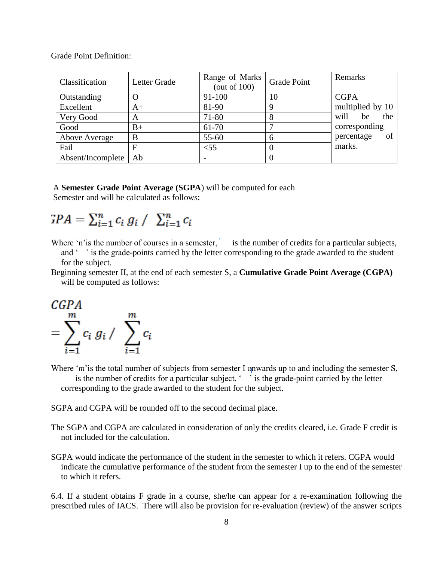Grade Point Definition:

| Classification    | Letter Grade | Range of Marks<br>(out of $100$ ) | <b>Grade Point</b> | Remarks           |
|-------------------|--------------|-----------------------------------|--------------------|-------------------|
| Outstanding       |              | 91-100                            | 10                 | <b>CGPA</b>       |
| Excellent         | $A+$         | 81-90                             |                    | multiplied by 10  |
| Very Good         | A            | 71-80                             |                    | be<br>the<br>will |
| Good              | $B+$         | 61-70                             |                    | corresponding     |
| Above Average     | B            | 55-60                             |                    | of<br>percentage  |
| Fail              | F            | $<$ 55                            |                    | marks.            |
| Absent/Incomplete | Ab           |                                   |                    |                   |

#### A **Semester Grade Point Average (SGPA**) will be computed for each

Semester and will be calculated as follows:

$$
GPA = \sum_{i=1}^{n} c_i g_i / \sum_{i=1}^{n} c_i
$$

Where 'n' is the number of courses in a semester, is the number of credits for a particular subjects,

and " is the grade-points carried by the letter corresponding to the grade awarded to the student for the subject.

Beginning semester II, at the end of each semester S, a **Cumulative Grade Point Average (CGPA)** will be computed as follows:



Where '*m*' is the total number of subjects from semester I onwards up to and including the semester S, is the number of credits for a particular subject. ' ' is the grade-point carried by the letter corresponding to the grade awarded to the student for the subject.

SGPA and CGPA will be rounded off to the second decimal place.

The SGPA and CGPA are calculated in consideration of only the credits cleared, i.e. Grade F credit is not included for the calculation.

SGPA would indicate the performance of the student in the semester to which it refers. CGPA would indicate the cumulative performance of the student from the semester I up to the end of the semester to which it refers.

6.4. If a student obtains F grade in a course, she/he can appear for a re-examination following the prescribed rules of IACS. There will also be provision for re-evaluation (review) of the answer scripts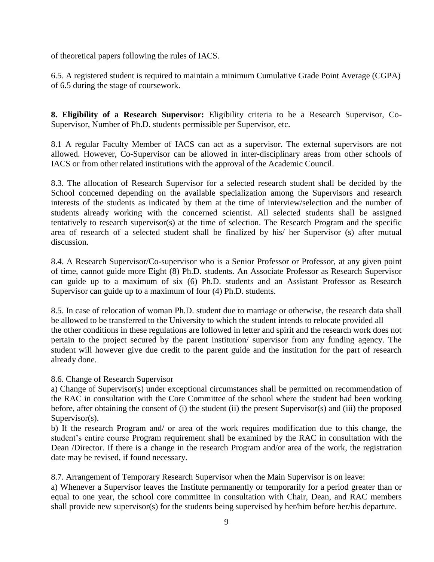of theoretical papers following the rules of IACS.

6.5. A registered student is required to maintain a minimum Cumulative Grade Point Average (CGPA) of 6.5 during the stage of coursework.

**8. Eligibility of a Research Supervisor:** Eligibility criteria to be a Research Supervisor, Co-Supervisor, Number of Ph.D. students permissible per Supervisor, etc.

8.1 A regular Faculty Member of IACS can act as a supervisor. The external supervisors are not allowed. However, Co-Supervisor can be allowed in inter-disciplinary areas from other schools of IACS or from other related institutions with the approval of the Academic Council.

8.3. The allocation of Research Supervisor for a selected research student shall be decided by the School concerned depending on the available specialization among the Supervisors and research interests of the students as indicated by them at the time of interview/selection and the number of students already working with the concerned scientist. All selected students shall be assigned tentatively to research supervisor(s) at the time of selection. The Research Program and the specific area of research of a selected student shall be finalized by his/ her Supervisor (s) after mutual discussion.

8.4. A Research Supervisor/Co-supervisor who is a Senior Professor or Professor, at any given point of time, cannot guide more Eight (8) Ph.D. students. An Associate Professor as Research Supervisor can guide up to a maximum of six (6) Ph.D. students and an Assistant Professor as Research Supervisor can guide up to a maximum of four (4) Ph.D. students.

8.5. In case of relocation of woman Ph.D. student due to marriage or otherwise, the research data shall be allowed to be transferred to the University to which the student intends to relocate provided all the other conditions in these regulations are followed in letter and spirit and the research work does not pertain to the project secured by the parent institution/ supervisor from any funding agency. The student will however give due credit to the parent guide and the institution for the part of research already done.

#### 8.6. Change of Research Supervisor

a) Change of Supervisor(s) under exceptional circumstances shall be permitted on recommendation of the RAC in consultation with the Core Committee of the school where the student had been working before, after obtaining the consent of (i) the student (ii) the present Supervisor(s) and (iii) the proposed Supervisor(s).

b) If the research Program and/ or area of the work requires modification due to this change, the student"s entire course Program requirement shall be examined by the RAC in consultation with the Dean /Director. If there is a change in the research Program and/or area of the work, the registration date may be revised, if found necessary.

8.7. Arrangement of Temporary Research Supervisor when the Main Supervisor is on leave:

a) Whenever a Supervisor leaves the Institute permanently or temporarily for a period greater than or equal to one year, the school core committee in consultation with Chair, Dean, and RAC members shall provide new supervisor(s) for the students being supervised by her/him before her/his departure.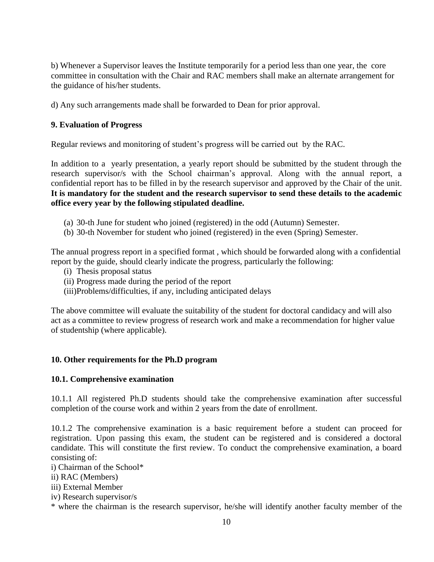b) Whenever a Supervisor leaves the Institute temporarily for a period less than one year, the core committee in consultation with the Chair and RAC members shall make an alternate arrangement for the guidance of his/her students.

d) Any such arrangements made shall be forwarded to Dean for prior approval.

### **9. Evaluation of Progress**

Regular reviews and monitoring of student"s progress will be carried out by the RAC.

In addition to a yearly presentation, a yearly report should be submitted by the student through the research supervisor/s with the School chairman"s approval. Along with the annual report, a confidential report has to be filled in by the research supervisor and approved by the Chair of the unit. **It is mandatory for the student and the research supervisor to send these details to the academic office every year by the following stipulated deadline.**

- (a) 30-th June for student who joined (registered) in the odd (Autumn) Semester.
- (b) 30-th November for student who joined (registered) in the even (Spring) Semester.

The annual progress report in a specified format , which should be forwarded along with a confidential report by the guide, should clearly indicate the progress, particularly the following:

- (i) Thesis proposal status
- (ii) Progress made during the period of the report
- (iii)Problems/difficulties, if any, including anticipated delays

The above committee will evaluate the suitability of the student for doctoral candidacy and will also act as a committee to review progress of research work and make a recommendation for higher value of studentship (where applicable).

#### **10. Other requirements for the Ph.D program**

#### **10.1. Comprehensive examination**

10.1.1 All registered Ph.D students should take the comprehensive examination after successful completion of the course work and within 2 years from the date of enrollment.

10.1.2 The comprehensive examination is a basic requirement before a student can proceed for registration. Upon passing this exam, the student can be registered and is considered a doctoral candidate. This will constitute the first review. To conduct the comprehensive examination, a board consisting of:

i) Chairman of the School\*

ii) RAC (Members)

iii) External Member

iv) Research supervisor/s

\* where the chairman is the research supervisor, he/she will identify another faculty member of the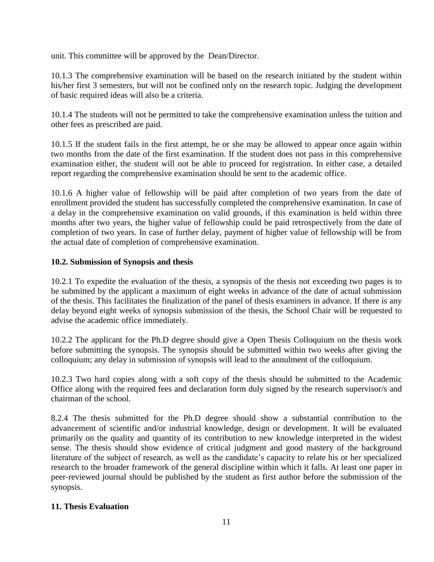unit. This committee will be approved by the Dean/Director.

10.1.3 The comprehensive examination will be based on the research initiated by the student within his/her first 3 semesters, but will not be confined only on the research topic. Judging the development of basic required ideas will also be a criteria.

10.1.4 The students will not be permitted to take the comprehensive examination unless the tuition and other fees as prescribed are paid.

10.1.5 If the student fails in the first attempt, he or she may be allowed to appear once again within two months from the date of the first examination. If the student does not pass in this comprehensive examination either, the student will not be able to proceed for registration. In either case, a detailed report regarding the comprehensive examination should be sent to the academic office.

10.1.6 A higher value of fellowship will be paid after completion of two years from the date of enrollment provided the student has successfully completed the comprehensive examination. In case of a delay in the comprehensive examination on valid grounds, if this examination is held within three months after two years, the higher value of fellowship could be paid retrospectively from the date of completion of two years. In case of further delay, payment of higher value of fellowship will be from the actual date of completion of comprehensive examination.

### **10.2. Submission of Synopsis and thesis**

10.2.1 To expedite the evaluation of the thesis, a synopsis of the thesis not exceeding two pages is to be submitted by the applicant a maximum of eight weeks in advance of the date of actual submission of the thesis. This facilitates the finalization of the panel of thesis examiners in advance. If there is any delay beyond eight weeks of synopsis submission of the thesis, the School Chair will be requested to advise the academic office immediately.

10.2.2 The applicant for the Ph.D degree should give a Open Thesis Colloquium on the thesis work before submitting the synopsis. The synopsis should be submitted within two weeks after giving the colloquium; any delay in submission of synopsis will lead to the annulment of the colloquium.

10.2.3 Two hard copies along with a soft copy of the thesis should be submitted to the Academic Office along with the required fees and declaration form duly signed by the research supervisor/s and chairman of the school.

8.2.4 The thesis submitted for the Ph.D degree should show a substantial contribution to the advancement of scientific and/or industrial knowledge, design or development. It will be evaluated primarily on the quality and quantity of its contribution to new knowledge interpreted in the widest sense. The thesis should show evidence of critical judgment and good mastery of the background literature of the subject of research, as well as the candidate's capacity to relate his or her specialized research to the broader framework of the general discipline within which it falls. At least one paper in peer-reviewed journal should be published by the student as first author before the submission of the synopsis.

#### **11. Thesis Evaluation**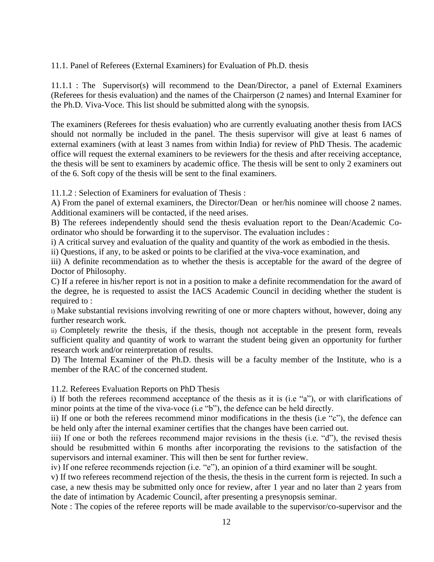#### 11.1. Panel of Referees (External Examiners) for Evaluation of Ph.D. thesis

11.1.1 : The Supervisor(s) will recommend to the Dean/Director, a panel of External Examiners (Referees for thesis evaluation) and the names of the Chairperson (2 names) and Internal Examiner for the Ph.D. Viva-Voce. This list should be submitted along with the synopsis.

The examiners (Referees for thesis evaluation) who are currently evaluating another thesis from IACS should not normally be included in the panel. The thesis supervisor will give at least 6 names of external examiners (with at least 3 names from within India) for review of PhD Thesis. The academic office will request the external examiners to be reviewers for the thesis and after receiving acceptance, the thesis will be sent to examiners by academic office. The thesis will be sent to only 2 examiners out of the 6. Soft copy of the thesis will be sent to the final examiners.

11.1.2 : Selection of Examiners for evaluation of Thesis :

A) From the panel of external examiners, the Director/Dean or her/his nominee will choose 2 names. Additional examiners will be contacted, if the need arises.

B) The referees independently should send the thesis evaluation report to the Dean/Academic Coordinator who should be forwarding it to the supervisor. The evaluation includes :

i) A critical survey and evaluation of the quality and quantity of the work as embodied in the thesis.

ii) Questions, if any, to be asked or points to be clarified at the viva-voce examination, and

iii) A definite recommendation as to whether the thesis is acceptable for the award of the degree of Doctor of Philosophy.

C) If a referee in his/her report is not in a position to make a definite recommendation for the award of the degree, he is requested to assist the IACS Academic Council in deciding whether the student is required to :

i) Make substantial revisions involving rewriting of one or more chapters without, however, doing any further research work.

ii) Completely rewrite the thesis, if the thesis, though not acceptable in the present form, reveals sufficient quality and quantity of work to warrant the student being given an opportunity for further research work and/or reinterpretation of results.

D) The Internal Examiner of the Ph.D. thesis will be a faculty member of the Institute, who is a member of the RAC of the concerned student.

11.2. Referees Evaluation Reports on PhD Thesis

i) If both the referees recommend acceptance of the thesis as it is (i.e "a"), or with clarifications of minor points at the time of the viva-voce (i.e "b"), the defence can be held directly.

ii) If one or both the referees recommend minor modifications in the thesis (i.e "c"), the defence can be held only after the internal examiner certifies that the changes have been carried out.

iii) If one or both the referees recommend major revisions in the thesis (i.e. "d"), the revised thesis should be resubmitted within 6 months after incorporating the revisions to the satisfaction of the supervisors and internal examiner. This will then be sent for further review.

iv) If one referee recommends rejection (i.e. "e"), an opinion of a third examiner will be sought.

v) If two referees recommend rejection of the thesis, the thesis in the current form is rejected. In such a case, a new thesis may be submitted only once for review, after 1 year and no later than 2 years from the date of intimation by Academic Council, after presenting a presynopsis seminar.

Note : The copies of the referee reports will be made available to the supervisor/co-supervisor and the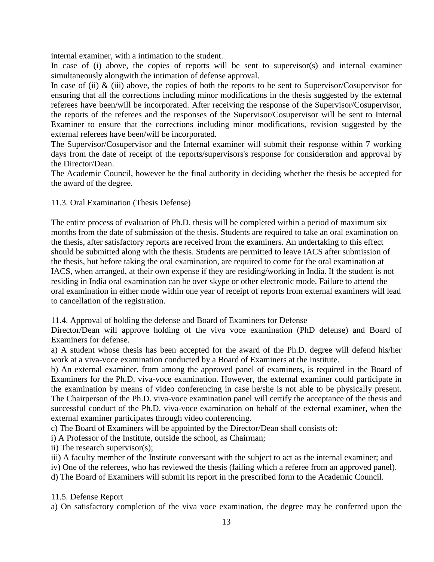internal examiner, with a intimation to the student.

In case of (i) above, the copies of reports will be sent to supervisor(s) and internal examiner simultaneously alongwith the intimation of defense approval.

In case of (ii)  $\&$  (iii) above, the copies of both the reports to be sent to Supervisor/Cosupervisor for ensuring that all the corrections including minor modifications in the thesis suggested by the external referees have been/will be incorporated. After receiving the response of the Supervisor/Cosupervisor, the reports of the referees and the responses of the Supervisor/Cosupervisor will be sent to Internal Examiner to ensure that the corrections including minor modifications, revision suggested by the external referees have been/will be incorporated.

The Supervisor/Cosupervisor and the Internal examiner will submit their response within 7 working days from the date of receipt of the reports/supervisors's response for consideration and approval by the Director/Dean.

The Academic Council, however be the final authority in deciding whether the thesis be accepted for the award of the degree.

#### 11.3. Oral Examination (Thesis Defense)

The entire process of evaluation of Ph.D. thesis will be completed within a period of maximum six months from the date of submission of the thesis. Students are required to take an oral examination on the thesis, after satisfactory reports are received from the examiners. An undertaking to this effect should be submitted along with the thesis. Students are permitted to leave IACS after submission of the thesis, but before taking the oral examination, are required to come for the oral examination at IACS, when arranged, at their own expense if they are residing/working in India. If the student is not residing in India oral examination can be over skype or other electronic mode. Failure to attend the oral examination in either mode within one year of receipt of reports from external examiners will lead to cancellation of the registration.

#### 11.4. Approval of holding the defense and Board of Examiners for Defense

Director/Dean will approve holding of the viva voce examination (PhD defense) and Board of Examiners for defense.

a) A student whose thesis has been accepted for the award of the Ph.D. degree will defend his/her work at a viva-voce examination conducted by a Board of Examiners at the Institute.

b) An external examiner, from among the approved panel of examiners, is required in the Board of Examiners for the Ph.D. viva-voce examination. However, the external examiner could participate in the examination by means of video conferencing in case he/she is not able to be physically present. The Chairperson of the Ph.D. viva-voce examination panel will certify the acceptance of the thesis and successful conduct of the Ph.D. viva-voce examination on behalf of the external examiner, when the external examiner participates through video conferencing.

c) The Board of Examiners will be appointed by the Director/Dean shall consists of:

i) A Professor of the Institute, outside the school, as Chairman;

ii) The research supervisor(s);

iii) A faculty member of the Institute conversant with the subject to act as the internal examiner; and

iv) One of the referees, who has reviewed the thesis (failing which a referee from an approved panel).

d) The Board of Examiners will submit its report in the prescribed form to the Academic Council.

#### 11.5. Defense Report

a) On satisfactory completion of the viva voce examination, the degree may be conferred upon the